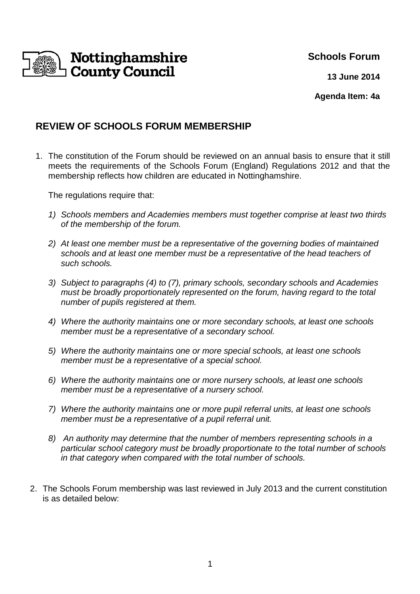

# **Schools Forum**

**13 June 2014**

**Agenda Item: 4a**

## **REVIEW OF SCHOOLS FORUM MEMBERSHIP**

1. The constitution of the Forum should be reviewed on an annual basis to ensure that it still meets the requirements of the Schools Forum (England) Regulations 2012 and that the membership reflects how children are educated in Nottinghamshire.

The regulations require that:

- 1) Schools members and Academies members must together comprise at least two thirds of the membership of the forum.
- 2) At least one member must be a representative of the governing bodies of maintained schools and at least one member must be a representative of the head teachers of such schools.
- 3) Subject to paragraphs (4) to (7), primary schools, secondary schools and Academies must be broadly proportionately represented on the forum, having regard to the total number of pupils registered at them.
- 4) Where the authority maintains one or more secondary schools, at least one schools member must be a representative of a secondary school.
- 5) Where the authority maintains one or more special schools, at least one schools member must be a representative of a special school.
- 6) Where the authority maintains one or more nursery schools, at least one schools member must be a representative of a nursery school.
- 7) Where the authority maintains one or more pupil referral units, at least one schools member must be a representative of a pupil referral unit.
- 8) An authority may determine that the number of members representing schools in a particular school category must be broadly proportionate to the total number of schools in that category when compared with the total number of schools.
- 2. The Schools Forum membership was last reviewed in July 2013 and the current constitution is as detailed below: